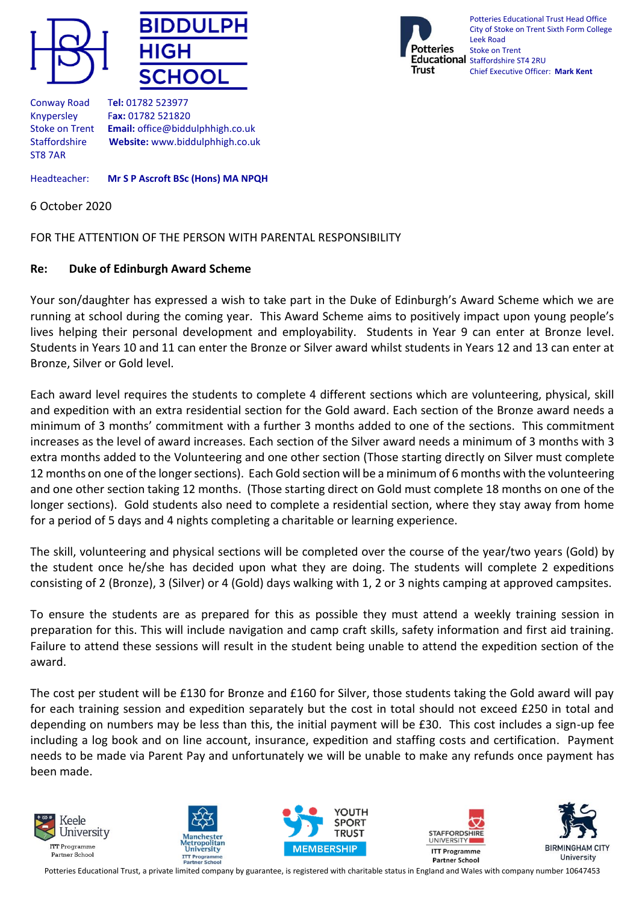





Conway Road T**el:** 01782 523977 Knypersley F**ax:** 01782 521820 Stoke on Trent **Email:** office@biddulphhigh.co.uk Staffordshire **Website:** www.biddulphhigh.co.uk ST8 7AR

Headteacher: **Mr S P Ascroft BSc (Hons) MA NPQH**

6 October 2020

FOR THE ATTENTION OF THE PERSON WITH PARENTAL RESPONSIBILITY

## **Re: Duke of Edinburgh Award Scheme**

Your son/daughter has expressed a wish to take part in the Duke of Edinburgh's Award Scheme which we are running at school during the coming year. This Award Scheme aims to positively impact upon young people's lives helping their personal development and employability. Students in Year 9 can enter at Bronze level. Students in Years 10 and 11 can enter the Bronze or Silver award whilst students in Years 12 and 13 can enter at Bronze, Silver or Gold level.

Each award level requires the students to complete 4 different sections which are volunteering, physical, skill and expedition with an extra residential section for the Gold award. Each section of the Bronze award needs a minimum of 3 months' commitment with a further 3 months added to one of the sections. This commitment increases as the level of award increases. Each section of the Silver award needs a minimum of 3 months with 3 extra months added to the Volunteering and one other section (Those starting directly on Silver must complete 12 months on one of the longer sections). Each Gold section will be a minimum of 6 months with the volunteering and one other section taking 12 months. (Those starting direct on Gold must complete 18 months on one of the longer sections). Gold students also need to complete a residential section, where they stay away from home for a period of 5 days and 4 nights completing a charitable or learning experience.

The skill, volunteering and physical sections will be completed over the course of the year/two years (Gold) by the student once he/she has decided upon what they are doing. The students will complete 2 expeditions consisting of 2 (Bronze), 3 (Silver) or 4 (Gold) days walking with 1, 2 or 3 nights camping at approved campsites.

To ensure the students are as prepared for this as possible they must attend a weekly training session in preparation for this. This will include navigation and camp craft skills, safety information and first aid training. Failure to attend these sessions will result in the student being unable to attend the expedition section of the award.

The cost per student will be £130 for Bronze and £160 for Silver, those students taking the Gold award will pay for each training session and expedition separately but the cost in total should not exceed £250 in total and depending on numbers may be less than this, the initial payment will be £30. This cost includes a sign-up fee including a log book and on line account, insurance, expedition and staffing costs and certification. Payment needs to be made via Parent Pay and unfortunately we will be unable to make any refunds once payment has been made.











Potteries Educational Trust, a private limited company by guarantee, is registered with charitable status in England and Wales with company number 10647453